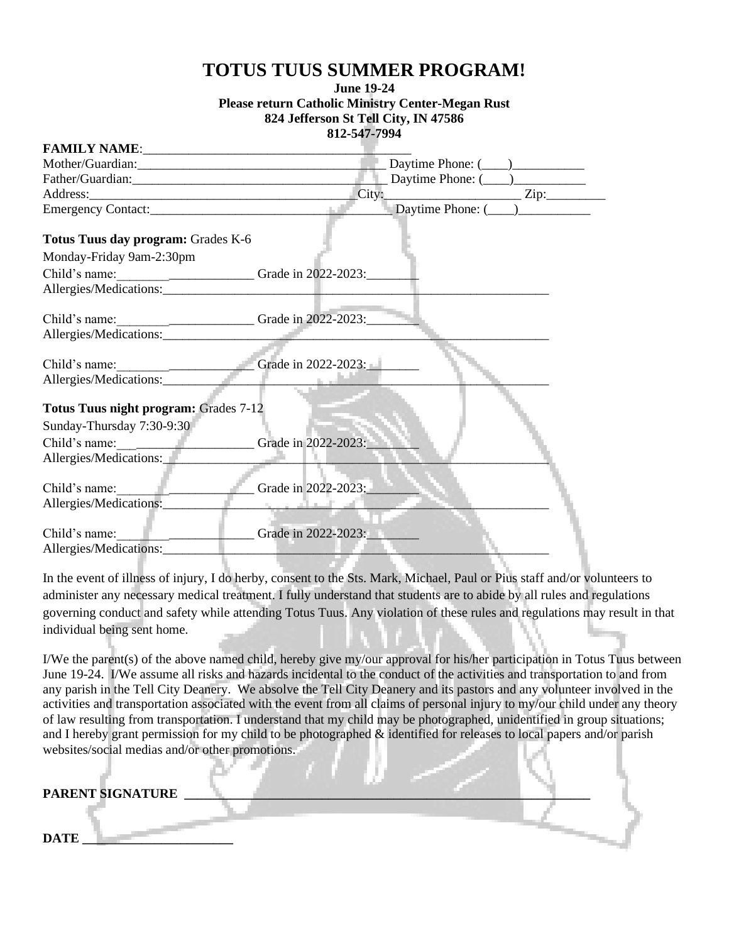## **TOTUS TUUS SUMMER PROGRAM!**

## **June 19-24 Please return Catholic Ministry Center-Megan Rust 824 Jefferson St Tell City, IN 47586 812-547-7994**

| Mother/Guardian: 1999 - 1999 - 1999 - 1999 - 1999 - 1999 - 1999 - 1999 - 1999 - 1999 - 1999 - 1999 - 1999 - 1                     |                     |
|-----------------------------------------------------------------------------------------------------------------------------------|---------------------|
|                                                                                                                                   |                     |
|                                                                                                                                   | Address: Zip: Zip:  |
|                                                                                                                                   |                     |
| Totus Tuus day program: Grades K-6<br>Monday-Friday 9am-2:30pm                                                                    |                     |
| Child's name: ______________________________Grade in 2022-2023:                                                                   |                     |
|                                                                                                                                   |                     |
| Child's name: Child's name: Child's name:                                                                                         |                     |
| Child's name: $\qquad \qquad$ Grade in 2022-2023:                                                                                 |                     |
| Allergies/Medications:                                                                                                            |                     |
| Totus Tuus night program: Grades 7-12<br>Sunday-Thursday 7:30-9:30<br>Child's name: Grade in 2022-2023:<br>Allergies/Medications: |                     |
| Child's name:<br>Allergies/Medications:                                                                                           | Grade in 2022-2023: |
| Child's name:<br>the company of the company<br>Allergies/Medications:                                                             | Grade in 2022-2023: |

In the event of illness of injury, I do herby, consent to the Sts. Mark, Michael, Paul or Pius staff and/or volunteers to administer any necessary medical treatment. I fully understand that students are to abide by all rules and regulations governing conduct and safety while attending Totus Tuus. Any violation of these rules and regulations may result in that individual being sent home.

I/We the parent(s) of the above named child, hereby give my/our approval for his/her participation in Totus Tuus between June 19-24. I/We assume all risks and hazards incidental to the conduct of the activities and transportation to and from any parish in the Tell City Deanery. We absolve the Tell City Deanery and its pastors and any volunteer involved in the activities and transportation associated with the event from all claims of personal injury to my/our child under any theory of law resulting from transportation. I understand that my child may be photographed, unidentified in group situations; and I hereby grant permission for my child to be photographed & identified for releases to local papers and/or parish websites/social medias and/or other promotions.

| PARENT SIGNATURE |  |  |  |
|------------------|--|--|--|
|                  |  |  |  |
| <b>DATE</b>      |  |  |  |